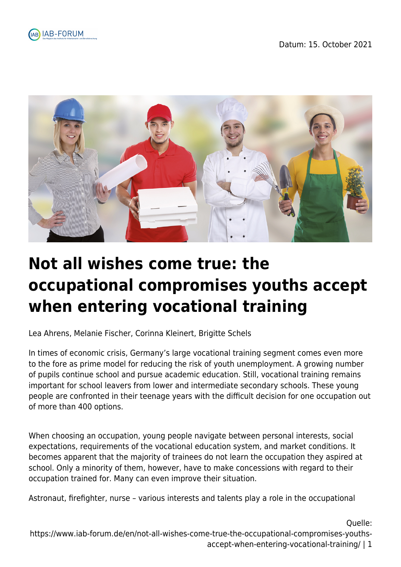





# **Not all wishes come true: the occupational compromises youths accept when entering vocational training**

Lea Ahrens, Melanie Fischer, Corinna Kleinert, Brigitte Schels

In times of economic crisis, Germany's large vocational training segment comes even more to the fore as prime model for reducing the risk of youth unemployment. A growing number of pupils continue school and pursue academic education. Still, vocational training remains important for school leavers from lower and intermediate secondary schools. These young people are confronted in their teenage years with the difficult decision for one occupation out of more than 400 options.

When choosing an occupation, young people navigate between personal interests, social expectations, requirements of the vocational education system, and market conditions. It becomes apparent that the majority of trainees do not learn the occupation they aspired at school. Only a minority of them, however, have to make concessions with regard to their occupation trained for. Many can even improve their situation.

Astronaut, firefighter, nurse – various interests and talents play a role in the occupational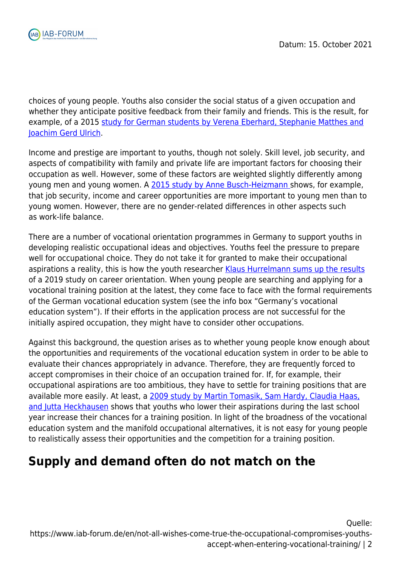

choices of young people. Youths also consider the social status of a given occupation and whether they anticipate positive feedback from their family and friends. This is the result, for example, of a 2015 [study for German students by Verena Eberhard, Stephanie Matthes and](https://www.emerald.com/insight/content/doi/10.1108/S0195-631020150000031008/full/html#loginreload) [Joachim Gerd Ulrich.](https://www.emerald.com/insight/content/doi/10.1108/S0195-631020150000031008/full/html#loginreload)

Income and prestige are important to youths, though not solely. Skill level, job security, and aspects of compatibility with family and private life are important factors for choosing their occupation as well. However, some of these factors are weighted slightly differently among young men and young women. A [2015 study by Anne Busch-Heizmann s](https://link.springer.com/article/10.1007/s11609-013-0220-9)hows, for example, that job security, income and career opportunities are more important to young men than to young women. However, there are no gender-related differences in other aspects such as work-life balance.

There are a number of vocational orientation programmes in Germany to support youths in developing realistic occupational ideas and objectives. Youths feel the pressure to prepare well for occupational choice. They do not take it for granted to make their occupational aspirations a reality, this is how the youth researcher [Klaus Hurrelmann sums up the results](https://www.hertie-school.org/en/news/research/detail/content/study-young-east-and-west-germans-still-see-career-prospects-as-sharply-divided) of a 2019 study on career orientation. When young people are searching and applying for a vocational training position at the latest, they come face to face with the formal requirements of the German vocational education system (see the info box "Germany's vocational education system"). If their efforts in the application process are not successful for the initially aspired occupation, they might have to consider other occupations.

Against this background, the question arises as to whether young people know enough about the opportunities and requirements of the vocational education system in order to be able to evaluate their chances appropriately in advance. Therefore, they are frequently forced to accept compromises in their choice of an occupation trained for. If, for example, their occupational aspirations are too ambitious, they have to settle for training positions that are available more easily. At least, a [2009 study by Martin Tomasik, Sam Hardy, Claudia Haas,](https://www.sciencedirect.com/science/article/pii/S0001879108000961?via=ihub) [and Jutta Heckhausen](https://www.sciencedirect.com/science/article/pii/S0001879108000961?via=ihub) shows that youths who lower their aspirations during the last school year increase their chances for a training position. In light of the broadness of the vocational education system and the manifold occupational alternatives, it is not easy for young people to realistically assess their opportunities and the competition for a training position.

# **Supply and demand often do not match on the**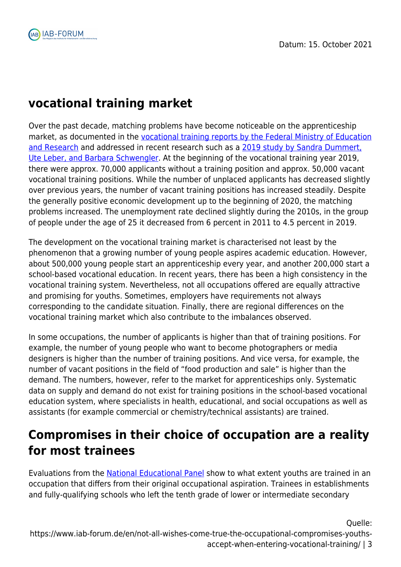# **vocational training market**

Over the past decade, matching problems have become noticeable on the apprenticeship market, as documented in the [vocational training reports by the Federal Ministry of Education](https://www.bmbf.de/de/berufsbildungsbericht-2740.html) [and Research](https://www.bmbf.de/de/berufsbildungsbericht-2740.html) and addressed in recent research such as a [2019 study by Sandra Dummert,](https://www.iab.de/389/section.aspx/Publikation/k181213j04) [Ute Leber, and Barbara Schwengler](https://www.iab.de/389/section.aspx/Publikation/k181213j04). At the beginning of the vocational training year 2019, there were approx. 70,000 applicants without a training position and approx. 50,000 vacant vocational training positions. While the number of unplaced applicants has decreased slightly over previous years, the number of vacant training positions has increased steadily. Despite the generally positive economic development up to the beginning of 2020, the matching problems increased. The unemployment rate declined slightly during the 2010s, in the group of people under the age of 25 it decreased from 6 percent in 2011 to 4.5 percent in 2019.

The development on the vocational training market is characterised not least by the phenomenon that a growing number of young people aspires academic education. However, about 500,000 young people start an apprenticeship every year, and another 200,000 start a school-based vocational education. In recent years, there has been a high consistency in the vocational training system. Nevertheless, not all occupations offered are equally attractive and promising for youths. Sometimes, employers have requirements not always corresponding to the candidate situation. Finally, there are regional differences on the vocational training market which also contribute to the imbalances observed.

In some occupations, the number of applicants is higher than that of training positions. For example, the number of young people who want to become photographers or media designers is higher than the number of training positions. And vice versa, for example, the number of vacant positions in the field of "food production and sale" is higher than the demand. The numbers, however, refer to the market for apprenticeships only. Systematic data on supply and demand do not exist for training positions in the school-based vocational education system, where specialists in health, educational, and social occupations as well as assistants (for example commercial or chemistry/technical assistants) are trained.

# **Compromises in their choice of occupation are a reality for most trainees**

Evaluations from the [National Educational Panel](https://www.neps-data.de/Data-Center/Data-and-Documentation/Start-Cohort-Grade-9/105157-NEPSSC41000) show to what extent youths are trained in an occupation that differs from their original occupational aspiration. Trainees in establishments and fully-qualifying schools who left the tenth grade of lower or intermediate secondary

Quelle: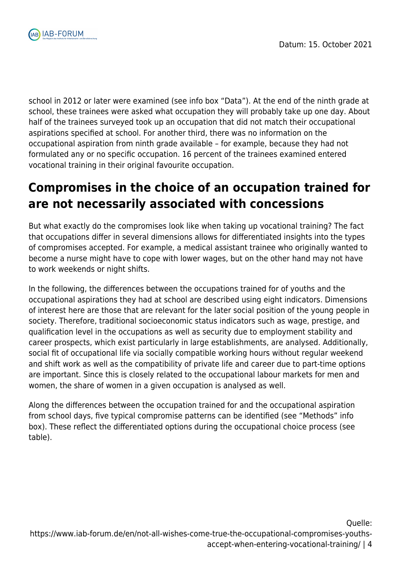

school in 2012 or later were examined (see info box "Data"). At the end of the ninth grade at school, these trainees were asked what occupation they will probably take up one day. About half of the trainees surveyed took up an occupation that did not match their occupational aspirations specified at school. For another third, there was no information on the occupational aspiration from ninth grade available – for example, because they had not formulated any or no specific occupation. 16 percent of the trainees examined entered vocational training in their original favourite occupation.

# **Compromises in the choice of an occupation trained for are not necessarily associated with concessions**

But what exactly do the compromises look like when taking up vocational training? The fact that occupations differ in several dimensions allows for differentiated insights into the types of compromises accepted. For example, a medical assistant trainee who originally wanted to become a nurse might have to cope with lower wages, but on the other hand may not have to work weekends or night shifts.

In the following, the differences between the occupations trained for of youths and the occupational aspirations they had at school are described using eight indicators. Dimensions of interest here are those that are relevant for the later social position of the young people in society. Therefore, traditional socioeconomic status indicators such as wage, prestige, and qualification level in the occupations as well as security due to employment stability and career prospects, which exist particularly in large establishments, are analysed. Additionally, social fit of occupational life via socially compatible working hours without regular weekend and shift work as well as the compatibility of private life and career due to part-time options are important. Since this is closely related to the occupational labour markets for men and women, the share of women in a given occupation is analysed as well.

Along the differences between the occupation trained for and the occupational aspiration from school days, five typical compromise patterns can be identified (see "Methods" info box). These reflect the differentiated options during the occupational choice process (see table).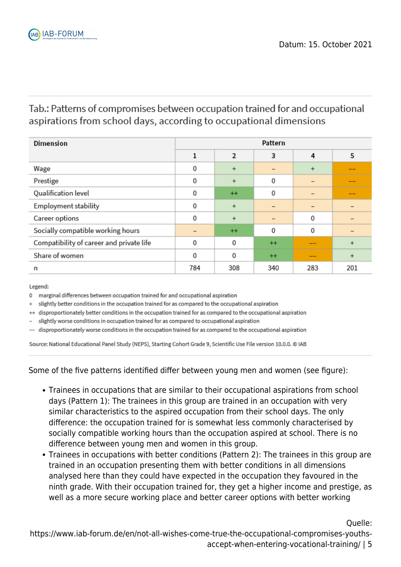### Tab.: Patterns of compromises between occupation trained for and occupational aspirations from school days, according to occupational dimensions

| <b>Dimension</b>                         | Pattern |                |             |             |           |
|------------------------------------------|---------|----------------|-------------|-------------|-----------|
|                                          | 1       | $\overline{2}$ | 3           | 4           | 5         |
| Wage                                     | 0       | $+$            | -           | $+$         | __        |
| Prestige                                 | 0       | $+$            | 0           |             | __        |
| Qualification level                      | 0       | $+$            | 0           |             | --        |
| <b>Employment stability</b>              | 0       | $+$            |             |             |           |
| Career options                           | 0       | $+$            |             | 0           |           |
| Socially compatible working hours        |         | $+$            | $\mathbf 0$ | $\mathbf 0$ |           |
| Compatibility of career and private life | 0       | 0              | $++$        |             | $\ddot{}$ |
| Share of women                           | 0       | 0              | $++$        | --          | $\ddot{}$ |
| n                                        | 784     | 308            | 340         | 283         | 201       |

Legend:

0 marginal differences between occupation trained for and occupational aspiration

 $\ddot{}$ slightly better conditions in the occupation trained for as compared to the occupational aspiration

++ disproportionately better conditions in the occupation trained for as compared to the occupational aspiration

slightly worse conditions in occupation trained for as compared to occupational aspiration

disproportionately worse conditions in the occupation trained for as compared to the occupational aspiration

Source: National Educational Panel Study (NEPS), Starting Cohort Grade 9, Scientific Use File version 10.0.0. @ IAB

Some of the five patterns identified differ between young men and women (see figure):

- Trainees in occupations that are similar to their occupational aspirations from school days (Pattern 1): The trainees in this group are trained in an occupation with very similar characteristics to the aspired occupation from their school days. The only difference: the occupation trained for is somewhat less commonly characterised by socially compatible working hours than the occupation aspired at school. There is no difference between young men and women in this group.
- Trainees in occupations with better conditions (Pattern 2): The trainees in this group are trained in an occupation presenting them with better conditions in all dimensions analysed here than they could have expected in the occupation they favoured in the ninth grade. With their occupation trained for, they get a higher income and prestige, as well as a more secure working place and better career options with better working

Quelle: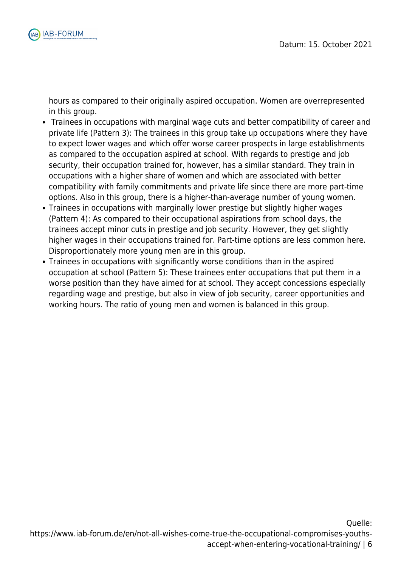

hours as compared to their originally aspired occupation. Women are overrepresented in this group.

- Trainees in occupations with marginal wage cuts and better compatibility of career and private life (Pattern 3): The trainees in this group take up occupations where they have to expect lower wages and which offer worse career prospects in large establishments as compared to the occupation aspired at school. With regards to prestige and job security, their occupation trained for, however, has a similar standard. They train in occupations with a higher share of women and which are associated with better compatibility with family commitments and private life since there are more part-time options. Also in this group, there is a higher-than-average number of young women.
- Trainees in occupations with marginally lower prestige but slightly higher wages (Pattern 4): As compared to their occupational aspirations from school days, the trainees accept minor cuts in prestige and job security. However, they get slightly higher wages in their occupations trained for. Part-time options are less common here. Disproportionately more young men are in this group.
- Trainees in occupations with significantly worse conditions than in the aspired occupation at school (Pattern 5): These trainees enter occupations that put them in a worse position than they have aimed for at school. They accept concessions especially regarding wage and prestige, but also in view of job security, career opportunities and working hours. The ratio of young men and women is balanced in this group.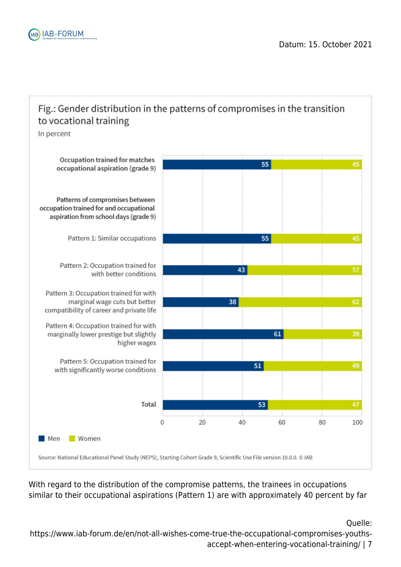

### Fig.: Gender distribution in the patterns of compromises in the transition to vocational training

In percent



With regard to the distribution of the compromise patterns, the trainees in occupations similar to their occupational aspirations (Pattern 1) are with approximately 40 percent by far

Quelle: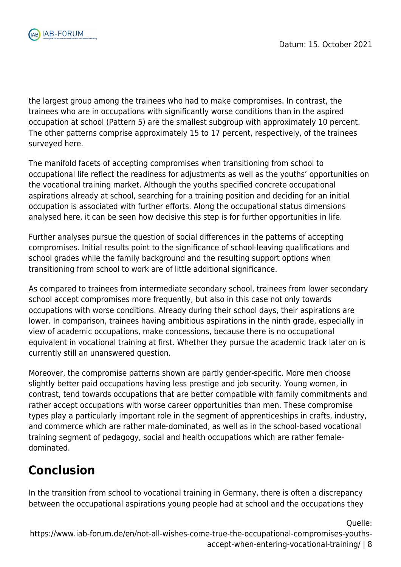

the largest group among the trainees who had to make compromises. In contrast, the trainees who are in occupations with significantly worse conditions than in the aspired occupation at school (Pattern 5) are the smallest subgroup with approximately 10 percent. The other patterns comprise approximately 15 to 17 percent, respectively, of the trainees surveyed here.

The manifold facets of accepting compromises when transitioning from school to occupational life reflect the readiness for adjustments as well as the youths' opportunities on the vocational training market. Although the youths specified concrete occupational aspirations already at school, searching for a training position and deciding for an initial occupation is associated with further efforts. Along the occupational status dimensions analysed here, it can be seen how decisive this step is for further opportunities in life.

Further analyses pursue the question of social differences in the patterns of accepting compromises. Initial results point to the significance of school-leaving qualifications and school grades while the family background and the resulting support options when transitioning from school to work are of little additional significance.

As compared to trainees from intermediate secondary school, trainees from lower secondary school accept compromises more frequently, but also in this case not only towards occupations with worse conditions. Already during their school days, their aspirations are lower. In comparison, trainees having ambitious aspirations in the ninth grade, especially in view of academic occupations, make concessions, because there is no occupational equivalent in vocational training at first. Whether they pursue the academic track later on is currently still an unanswered question.

Moreover, the compromise patterns shown are partly gender-specific. More men choose slightly better paid occupations having less prestige and job security. Young women, in contrast, tend towards occupations that are better compatible with family commitments and rather accept occupations with worse career opportunities than men. These compromise types play a particularly important role in the segment of apprenticeships in crafts, industry, and commerce which are rather male-dominated, as well as in the school-based vocational training segment of pedagogy, social and health occupations which are rather femaledominated.

# **Conclusion**

In the transition from school to vocational training in Germany, there is often a discrepancy between the occupational aspirations young people had at school and the occupations they

Quelle: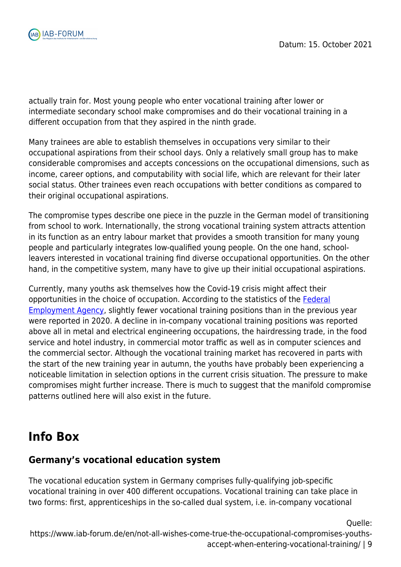

actually train for. Most young people who enter vocational training after lower or intermediate secondary school make compromises and do their vocational training in a different occupation from that they aspired in the ninth grade.

Many trainees are able to establish themselves in occupations very similar to their occupational aspirations from their school days. Only a relatively small group has to make considerable compromises and accepts concessions on the occupational dimensions, such as income, career options, and computability with social life, which are relevant for their later social status. Other trainees even reach occupations with better conditions as compared to their original occupational aspirations.

The compromise types describe one piece in the puzzle in the German model of transitioning from school to work. Internationally, the strong vocational training system attracts attention in its function as an entry labour market that provides a smooth transition for many young people and particularly integrates low-qualified young people. On the one hand, schoolleavers interested in vocational training find diverse occupational opportunities. On the other hand, in the competitive system, many have to give up their initial occupational aspirations.

Currently, many youths ask themselves how the Covid-19 crisis might affect their opportunities in the choice of occupation. According to the statistics of the [Federal](https://www.iab-forum.de/en/glossar/federal-employment-agency/) [Employment Agency](https://www.iab-forum.de/en/glossar/federal-employment-agency/), slightly fewer vocational training positions than in the previous year were reported in 2020. A decline in in-company vocational training positions was reported above all in metal and electrical engineering occupations, the hairdressing trade, in the food service and hotel industry, in commercial motor traffic as well as in computer sciences and the commercial sector. Although the vocational training market has recovered in parts with the start of the new training year in autumn, the youths have probably been experiencing a noticeable limitation in selection options in the current crisis situation. The pressure to make compromises might further increase. There is much to suggest that the manifold compromise patterns outlined here will also exist in the future.

# **Info Box**

### **Germany's vocational education system**

The vocational education system in Germany comprises fully-qualifying job-specific vocational training in over 400 different occupations. Vocational training can take place in two forms: first, apprenticeships in the so-called dual system, i.e. in-company vocational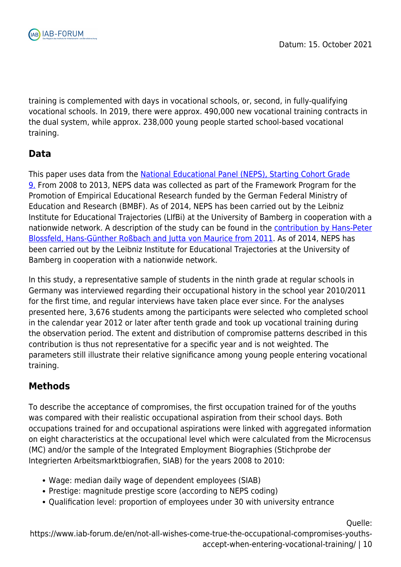

training is complemented with days in vocational schools, or, second, in fully-qualifying vocational schools. In 2019, there were approx. 490,000 new vocational training contracts in the dual system, while approx. 238,000 young people started school-based vocational training.

### **Data**

This paper uses data from the [National Educational Panel \(NEPS\), Starting Cohort Grade](https://www.neps-data.de/Data-Center/Data-and-Documentation/Start-Cohort-Grade-9/105157-NEPSSC41000) [9.](https://www.neps-data.de/Data-Center/Data-and-Documentation/Start-Cohort-Grade-9/105157-NEPSSC41000) From 2008 to 2013, NEPS data was collected as part of the Framework Program for the Promotion of Empirical Educational Research funded by the German Federal Ministry of Education and Research (BMBF). As of 2014, NEPS has been carried out by the Leibniz Institute for Educational Trajectories (LIfBi) at the University of Bamberg in cooperation with a nationwide network. A description of the study can be found in the [contribution by Hans-Peter](https://www.iab.de/en/publikationen/weitere-publikationen/weitere-publikationen-details.aspx/Publikation/k110810301) [Blossfeld, Hans-Günther Roßbach and Jutta von Maurice from 2011](https://www.iab.de/en/publikationen/weitere-publikationen/weitere-publikationen-details.aspx/Publikation/k110810301). As of 2014, NEPS has been carried out by the Leibniz Institute for Educational Trajectories at the University of Bamberg in cooperation with a nationwide network.

In this study, a representative sample of students in the ninth grade at regular schools in Germany was interviewed regarding their occupational history in the school year 2010/2011 for the first time, and regular interviews have taken place ever since. For the analyses presented here, 3,676 students among the participants were selected who completed school in the calendar year 2012 or later after tenth grade and took up vocational training during the observation period. The extent and distribution of compromise patterns described in this contribution is thus not representative for a specific year and is not weighted. The parameters still illustrate their relative significance among young people entering vocational training.

### **Methods**

To describe the acceptance of compromises, the first occupation trained for of the youths was compared with their realistic occupational aspiration from their school days. Both occupations trained for and occupational aspirations were linked with aggregated information on eight characteristics at the occupational level which were calculated from the Microcensus (MC) and/or the sample of the Integrated Employment Biographies (Stichprobe der Integrierten Arbeitsmarktbiografien, SIAB) for the years 2008 to 2010:

- Wage: median daily wage of dependent employees (SIAB)
- Prestige: magnitude prestige score (according to NEPS coding)
- Qualification level: proportion of employees under 30 with university entrance

Quelle: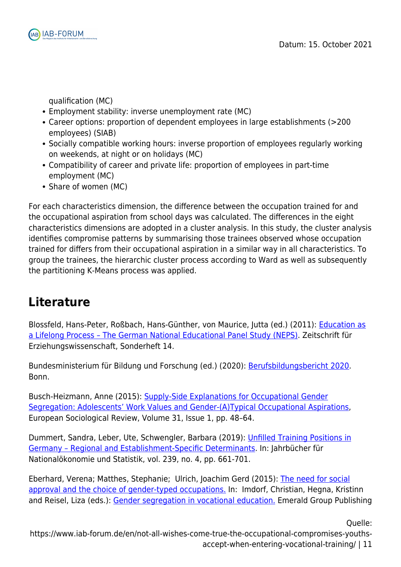

qualification (MC)

- Employment stability: inverse unemployment rate (MC)
- Career options: proportion of dependent employees in large establishments (>200 employees) (SIAB)
- Socially compatible working hours: inverse proportion of employees regularly working on weekends, at night or on holidays (MC)
- Compatibility of career and private life: proportion of employees in part-time employment (MC)
- Share of women (MC)

For each characteristics dimension, the difference between the occupation trained for and the occupational aspiration from school days was calculated. The differences in the eight characteristics dimensions are adopted in a cluster analysis. In this study, the cluster analysis identifies compromise patterns by summarising those trainees observed whose occupation trained for differs from their occupational aspiration in a similar way in all characteristics. To group the trainees, the hierarchic cluster process according to Ward as well as subsequently the partitioning K-Means process was applied.

### **Literature**

Blossfeld, Hans-Peter, Roßbach, Hans-Günther, von Maurice, Jutta (ed.) (2011): [Education as](https://www.iab.de/en/publikationen/weitere-publikationen/weitere-publikationen-details.aspx/Publikation/k110810301) [a Lifelong Process – The German National Educational Panel Study \(NEPS\)](https://www.iab.de/en/publikationen/weitere-publikationen/weitere-publikationen-details.aspx/Publikation/k110810301). Zeitschrift für Erziehungswissenschaft, Sonderheft 14.

Bundesministerium für Bildung und Forschung (ed.) (2020): [Berufsbildungsbericht 2020](https://www.bmbf.de/de/berufsbildungsbericht-2740.html). Bonn.

Busch-Heizmann, Anne (2015): [Supply-Side Explanations for Occupational Gender](https://doi.org/10.1093/esr/jcu081) [Segregation: Adolescents' Work Values and Gender-\(A\)Typical Occupational Aspirations](https://doi.org/10.1093/esr/jcu081), European Sociological Review, Volume 31, Issue 1, pp. 48–64.

Dummert, Sandra, Leber, Ute, Schwengler, Barbara (2019): [Unfilled Training Positions in](https://www.iab.de/389/section.aspx/Publikation/k181213j04) [Germany – Regional and Establishment-Specific Determinants.](https://www.iab.de/389/section.aspx/Publikation/k181213j04) In: Jahrbücher für Nationalökonomie und Statistik, vol. 239, no. 4, pp. 661-701.

Eberhard, Verena; Matthes, Stephanie; Ulrich, Joachim Gerd (2015): [The need for social](https://www.emerald.com/insight/content/doi/10.1108/S0195-631020150000031008/full/html#loginreload) [approval and the choice of gender-typed occupations.](https://www.emerald.com/insight/content/doi/10.1108/S0195-631020150000031008/full/html#loginreload) In: Imdorf, Christian, Hegna, Kristinn and Reisel, Liza (eds.): [Gender segregation in vocational education.](https://www.econbiz.de/Record/gender-segregation-in-vocational-education-imdorf-christian/10011483588) Emerald Group Publishing

Quelle: